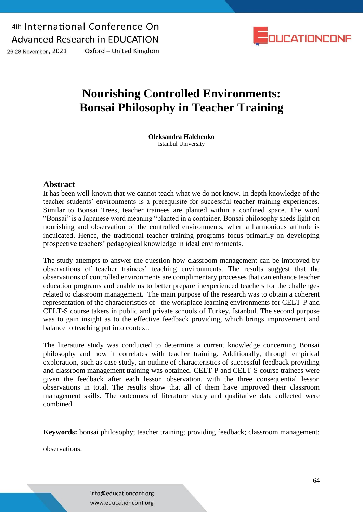26-28 November, 2021

Oxford - United Kingdom



# **Nourishing Controlled Environments: Bonsai Philosophy in Teacher Training**

**Oleksandra Halchenko**  Istanbul University

#### **Abstract**

It has been well-known that we cannot teach what we do not know. In depth knowledge of the teacher students' environments is a prerequisite for successful teacher training experiences. Similar to Bonsai Trees, teacher trainees are planted within a confined space. The word "Bonsai" is a Japanese word meaning "planted in a container. Bonsai philosophy sheds light on nourishing and observation of the controlled environments, when a harmonious attitude is inculcated. Hence, the traditional teacher training programs focus primarily on developing prospective teachers' pedagogical knowledge in ideal environments.

The study attempts to answer the question how classroom management can be improved by observations of teacher trainees' teaching environments. The results suggest that the observations of controlled environments are complimentary processes that can enhance teacher education programs and enable us to better prepare inexperienced teachers for the challenges related to classroom management. The main purpose of the research was to obtain a coherent representation of the characteristics of the workplace learning environments for CELT-P and CELT-S course takers in public and private schools of Turkey, Istanbul. The second purpose was to gain insight as to the effective feedback providing, which brings improvement and balance to teaching put into context.

The literature study was conducted to determine a current knowledge concerning Bonsai philosophy and how it correlates with teacher training. Additionally, through empirical exploration, such as case study, an outline of characteristics of successful feedback providing and classroom management training was obtained. CELT-P and CELT-S course trainees were given the feedback after each lesson observation, with the three consequential lesson observations in total. The results show that all of them have improved their classroom management skills. The outcomes of literature study and qualitative data collected were combined.

**Keywords:** bonsai philosophy; teacher training; providing feedback; classroom management;

observations.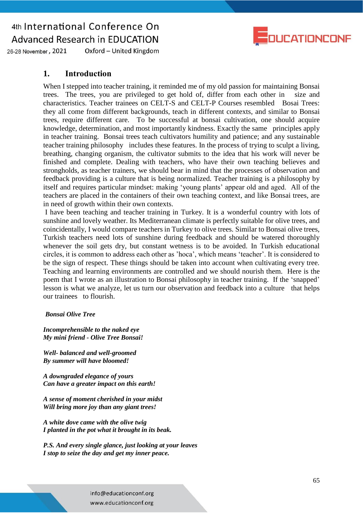

Oxford - United Kingdom 26-28 November, 2021

### **1. Introduction**

When I stepped into teacher training, it reminded me of my old passion for maintaining Bonsai trees. The trees, you are privileged to get hold of, differ from each other in size and characteristics. Teacher trainees on CELT-S and CELT-P Courses resembled Bosai Trees: they all come from different backgrounds, teach in different contexts, and similar to Bonsai trees, require different care. To be successful at bonsai cultivation, one should acquire knowledge, determination, and most importantly kindness. Exactly the same principles apply in teacher training. Bonsai trees teach cultivators humility and patience; and any sustainable teacher training philosophy includes these features. In the process of trying to sculpt a living, breathing, changing organism, the cultivator submits to the idea that his work will never be finished and complete. Dealing with teachers, who have their own teaching believes and strongholds, as teacher trainers, we should bear in mind that the processes of observation and feedback providing is a culture that is being normalized. Teacher training is a philosophy by itself and requires particular mindset: making 'young plants' appear old and aged. All of the teachers are placed in the containers of their own teaching context, and like Bonsai trees, are in need of growth within their own contexts.

I have been teaching and teacher training in Turkey. It is a wonderful country with lots of sunshine and lovely weather. Its Mediterranean climate is perfectly suitable for olive trees, and coincidentally, I would compare teachers in Turkey to olive trees. Similar to Bonsai olive trees, Turkish teachers need lots of sunshine during feedback and should be watered thoroughly whenever the soil gets dry, but constant wetness is to be avoided. In Turkish educational circles, it is common to address each other as 'hoca', which means 'teacher'. It is considered to be the sign of respect. These things should be taken into account when cultivating every tree. Teaching and learning environments are controlled and we should nourish them. Here is the poem that I wrote as an illustration to Bonsai philosophy in teacher training. If the 'snapped' lesson is what we analyze, let us turn our observation and feedback into a culture that helps our trainees to flourish.

#### *Bonsai Olive Tree*

*Incomprehensible to the naked eye My mini friend - Olive Tree Bonsai!*

*Well- balanced and well-groomed By summer will have bloomed!*

*A downgraded elegance of yours Can have a greater impact on this earth!*

*A sense of moment cherished in your midst Will bring more joy than any giant trees!*

*A white dove came with the olive twig I planted in the pot what it brought in its beak.*

*P.S. And every single glance, just looking at your leaves I stop to seize the day and get my inner peace.*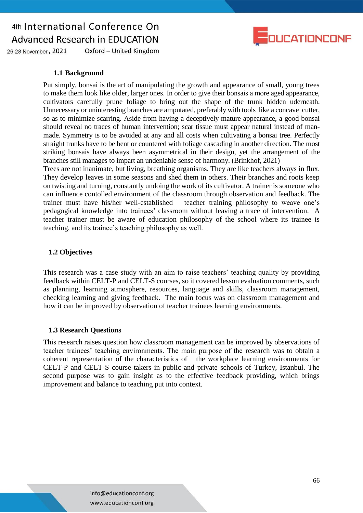

Oxford - United Kingdom 26-28 November, 2021

#### **1.1 Background**

Put simply, bonsai is the art of manipulating the growth and appearance of small, young trees to make them look like older, larger ones. In order to give their bonsais a more aged appearance, cultivators carefully prune foliage to bring out the shape of the trunk hidden uderneath. Unnecessary or uninteresting branches are amputated, preferably with tools like a concave cutter, so as to minimize scarring. Aside from having a deceptively mature appearance, a good bonsai should reveal no traces of human intervention; scar tissue must appear natural instead of manmade. Symmetry is to be avoided at any and all costs when cultivating a bonsai tree. Perfectly straight trunks have to be bent or countered with foliage cascading in another direction. The most striking bonsais have always been asymmetrical in their design, yet the arrangement of the branches still manages to impart an undeniable sense of harmony. (Brinkhof, 2021)

Trees are not inanimate, but living, breathing organisms. They are like teachers always in flux. They develop leaves in some seasons and shed them in others. Their branches and roots keep on twisting and turning, constantly undoing the work of its cultivator. A trainer is someone who can influence contolled environment of the classroom through observation and feedback. The trainer must have his/her well-established teacher training philosophy to weave one's pedagogical knowledge into trainees' classroom without leaving a trace of intervention. A teacher trainer must be aware of education philosophy of the school where its trainee is teaching, and its trainee's teaching philosophy as well.

#### **1.2 Objectives**

This research was a case study with an aim to raise teachers' teaching quality by providing feedback within CELT-P and CELT-S courses, so it covered lesson evaluation comments, such as planning, learning atmosphere, resources, language and skills, classroom management, checking learning and giving feedback. The main focus was on classroom management and how it can be improved by observation of teacher trainees learning environments.

#### **1.3 Research Questions**

This research raises question how classroom management can be improved by observations of teacher trainees' teaching environments. The main purpose of the research was to obtain a coherent representation of the characteristics of the workplace learning environments for CELT-P and CELT-S course takers in public and private schools of Turkey, Istanbul. The second purpose was to gain insight as to the effective feedback providing, which brings improvement and balance to teaching put into context.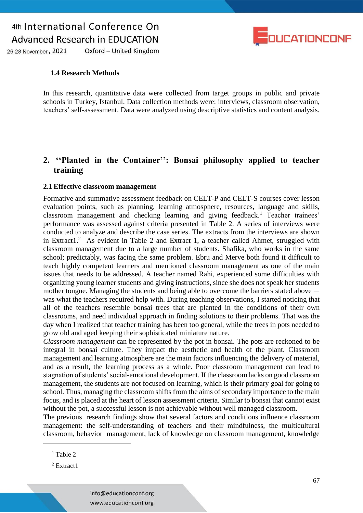

Oxford - United Kingdom 26-28 November, 2021

#### **1.4 Research Methods**

In this research, quantitative data were collected from target groups in public and private schools in Turkey, Istanbul. Data collection methods were: interviews, classroom observation, teachers' self-assessment. Data were analyzed using descriptive statistics and content analysis.

### **2. ''Planted in the Container'': Bonsai philosophy applied to teacher training**

#### **2.1 Effective classroom management**

Formative and summative assessment feedback on CELT-P and CELT-S courses cover lesson evaluation points, such as planning, learning atmosphere, resources, language and skills, classroom management and checking learning and giving feedback.<sup>1</sup> Teacher trainees' performance was assessed against criteria presented in Table 2. A series of interviews were conducted to analyze and describe the case series. The extracts from the interviews are shown in Extract1.<sup>2</sup> As evident in Table 2 and Extract 1, a teacher called Ahmet, struggled with classroom management due to a large number of students. Shafika, who works in the same school; predictably, was facing the same problem. Ebru and Merve both found it difficult to teach highly competent learners and mentioned classroom management as one of the main issues that needs to be addressed. A teacher named Rahi, experienced some difficulties with organizing young learner students and giving instructions, since she does not speak her students mother tongue. Managing the students and being able to overcome the barriers stated above was what the teachers required help with. During teaching observations, I started noticing that all of the teachers resemble bonsai trees that are planted in the conditions of their own classrooms, and need individual approach in finding solutions to their problems. That was the day when I realized that teacher training has been too general, while the trees in pots needed to grow old and aged keeping their sophisticated miniature nature.

*Classroom management* can be represented by the pot in bonsai. The pots are reckoned to be integral in bonsai culture. They impact the aesthetic and health of the plant. Classroom management and learning atmosphere are the main factors influencing the delivery of material, and as a result, the learning process as a whole. Poor classroom management can lead to stagnation of students' social-emotional development. If the classroom lacks on good classroom management, the students are not focused on learning, which is their primary goal for going to school. Thus, managing the classroom shifts from the aims of secondary importance to the main focus, and is placed at the heart of lesson assessment criteria. Similar to bonsai that cannot exist without the pot, a successful lesson is not achievable without well managed classroom.

The previous research findings show that several factors and conditions influence classroom management: the self-understanding of teachers and their mindfulness, the multicultural classroom, behavior management, lack of knowledge on classroom management, knowledge

 $\overline{a}$ 

 $1$  Table 2

<sup>2</sup> Extract1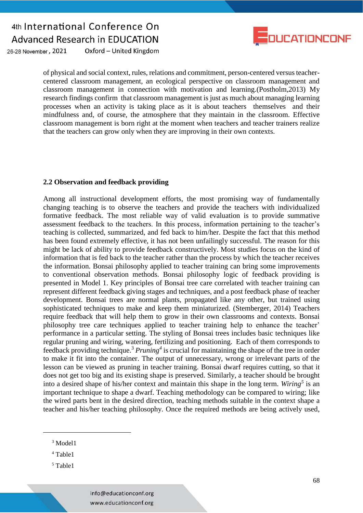

Oxford - United Kingdom 26-28 November, 2021

> of physical and social context, rules, relations and commitment, person-centered versus teachercentered classroom management, an ecological perspective on classroom management and classroom management in connection with motivation and learning.(Postholm,2013) My research findings confirm that classroom management is just as much about managing learning processes when an activity is taking place as it is about teachers themselves and their mindfulness and, of course, the atmosphere that they maintain in the classroom. Effective classroom management is born right at the moment when teachers and teacher trainers realize that the teachers can grow only when they are improving in their own contexts.

#### **2.2 Observation and feedback providing**

Among all instructional development efforts, the most promising way of fundamentally changing teaching is to observe the teachers and provide the teachers with individualized formative feedback. The most reliable way of valid evaluation is to provide summative assessment feedback to the teachers. In this process, information pertaining to the teacher's teaching is collected, summarized, and fed back to him/her. Despite the fact that this method has been found extremely effective, it has not been unfailingly successful. The reason for this might be lack of ability to provide feedback constructively. Most studies focus on the kind of information that is fed back to the teacher rather than the process by which the teacher receives the information. Bonsai philosophy applied to teacher training can bring some improvements to conventional observation methods. Bonsai philosophy logic of feedback providing is presented in Model 1. Key principles of Bonsai tree care correlated with teacher training can represent different feedback giving stages and techniques, and a post feedback phase of teacher development. Bonsai trees are normal plants, propagated like any other, but trained using sophisticated techniques to make and keep them miniaturized. (Stemberger, 2014) Teachers require feedback that will help them to grow in their own classrooms and contexts. Bonsai philosophy tree care techniques applied to teacher training help to enhance the teacher' performance in a particular setting. The styling of Bonsai trees includes basic techniques like regular pruning and wiring, watering, fertilizing and positioning. Each of them corresponds to feedback providing technique.<sup>3</sup> *Pruning<sup>4</sup>* is crucial for maintaining the shape of the tree in order to make it fit into the container. The output of unnecessary, wrong or irrelevant parts of the lesson can be viewed as pruning in teacher training. Bonsai dwarf requires cutting, so that it does not get too big and its existing shape is preserved. Similarly, a teacher should be brought into a desired shape of his/her context and maintain this shape in the long term. *Wiring<sup>5</sup>* is an important technique to shape a dwarf. Teaching methodology can be compared to wiring; like the wired parts bent in the desired direction, teaching methods suitable in the context shape a teacher and his/her teaching philosophy. Once the required methods are being actively used,

 $\overline{a}$ 

<sup>3</sup> Model1

<sup>4</sup> Table1

<sup>&</sup>lt;sup>5</sup> Table1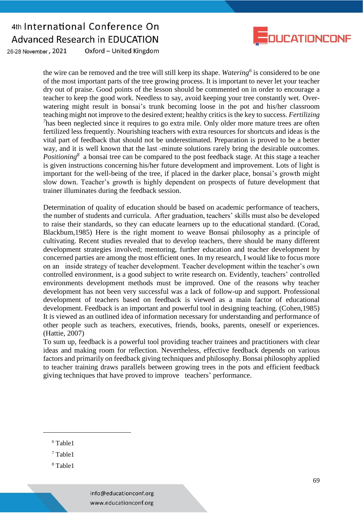

Oxford - United Kingdom 26-28 November, 2021

> the wire can be removed and the tree will still keep its shape. *Watering<sup>6</sup>* is considered to be one of the most important parts of the tree growing process. It is important to never let your teacher dry out of praise. Good points of the lesson should be commented on in order to encourage a teacher to keep the good work. Needless to say, avoid keeping your tree constantly wet. Overwatering might result in bonsai's trunk becoming loose in the pot and his/her classroom teaching might not improve to the desired extent; healthy critics is the key to success. *Fertilizing*  <sup>7</sup>has been neglected since it requires to go extra mile. Only older more mature trees are often fertilized less frequently. Nourishing teachers with extra resources for shortcuts and ideas is the vital part of feedback that should not be underestimated. Preparation is proved to be a better way, and it is well known that the last -minute solutions rarely bring the desirable outcomes. *Positioning*<sup>8</sup> a bonsai tree can be compared to the post feedback stage. At this stage a teacher is given instructions concerning his/her future development and improvement. Lots of light is important for the well-being of the tree, if placed in the darker place, bonsai's growth might slow down. Teacher's growth is highly dependent on prospects of future development that trainer illuminates during the feedback session.

> Determination of quality of education should be based on academic performance of teachers, the number of students and curricula. After graduation, teachers' skills must also be developed to raise their standards, so they can educate learners up to the educational standard. (Corad, Blackbum,1985) Here is the right moment to weave Bonsai philosophy as a principle of cultivating. Recent studies revealed that to develop teachers, there should be many different development strategies involved; mentoring, further education and teacher development by concerned parties are among the most efficient ones. In my research, I would like to focus more on an inside strategy of teacher development. Teacher development within the teacher's own controlled environment, is a good subject to write research on. Evidently, teachers' controlled environments development methods must be improved. One of the reasons why teacher development has not been very successful was a lack of follow-up and support. Professional development of teachers based on feedback is viewed as a main factor of educational development. Feedback is an important and powerful tool in designing teaching. (Cohen,1985) It is viewed as an outlined idea of information necessary for understanding and performance of other people such as teachers, executives, friends, books, parents, oneself or experiences. (Hattie, 2007)

> To sum up, feedback is a powerful tool providing teacher trainees and practitioners with clear ideas and making room for reflection. Nevertheless, effective feedback depends on various factors and primarily on feedback giving techniques and philosophy. Bonsai philosophy applied to teacher training draws parallels between growing trees in the pots and efficient feedback giving techniques that have proved to improve teachers' performance.

<sup>6</sup> Table1

 $\overline{a}$ 

<sup>8</sup> Table1

<sup>7</sup> Table1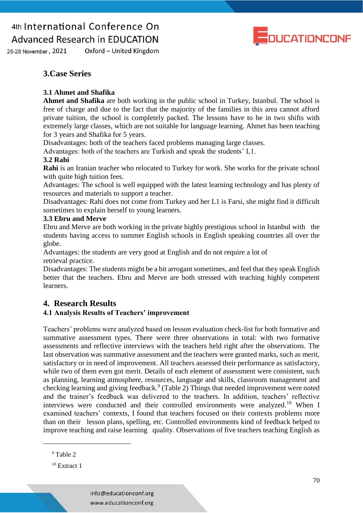

Oxford - United Kingdom 26-28 November, 2021

### **3.Case Series**

#### **3.1 Ahmet and Shafika**

**Ahmet and Shafika** are both working in the public school in Turkey, Istanbul. The school is free of charge and due to the fact that the majority of the families in this area cannot afford private tuition, the school is completely packed. The lessons have to be in two shifts with extremely large classes, which are not suitable for language learning. Ahmet has been teaching for 3 years and Shafika for 5 years.

Disadvantages: both of the teachers faced problems managing large classes.

Advantages: both of the teachers are Turkish and speak the students' L1.

#### **3.2 Rahi**

**Rahi** is an Iranian teacher who relocated to Turkey for work. She works for the private school with quite high tuition fees.

Advantages: The school is well equipped with the latest learning technology and has plenty of resources and materials to support a teacher.

Disadvantages: Rahi does not come from Turkey and her L1 is Farsi, she might find it difficult sometimes to explain herself to young learners.

#### **3.3 Ebru and Merve**

Ebru and Merve are both working in the private highly prestigious school in Istanbul with the students having access to summer English schools in English speaking countries all over the globe.

Advantages: the students are very good at English and do not require a lot of retrieval practice.

Disadvantages: The students might be a bit arrogant sometimes, and feel that they speak English better that the teachers. Ebru and Merve are both stressed with teaching highly competent learners.

### **4. Research Results**

### **4.1 Analysis Results of Teachers' improvement**

Teachers' problems were analyzed based on lesson evaluation check-list for both formative and summative assessment types. There were three observations in total: with two formative assessments and reflective interviews with the teachers held right after the observations. The last observation was summative assessment and the teachers were granted marks, such as merit, satisfactory or in need of improvement. All teachers assessed their performance as satisfactory, while two of them even got merit. Details of each element of assessment were consistent, such as planning, learning atmosphere, resources, language and skills, classroom management and checking learning and giving feedback.<sup>9</sup> (Table 2) Things that needed improvement were noted and the trainer's feedback was delivered to the teachers. In addition, teachers' reflective interviews were conducted and their controlled environments were analyzed.<sup>10</sup> When I examined teachers' contexts, I found that teachers focused on their contexts problems more than on their lesson plans, spelling, etc. Controlled environments kind of feedback helped to improve teaching and raise learning quality. Observations of five teachers teaching English as

 $\overline{a}$ 

<sup>9</sup> Table 2

 $10$  Extract 1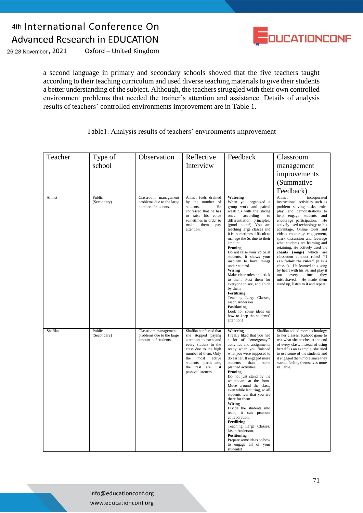

26-28 November, 2021 Oxford - United Kingdom

> a second language in primary and secondary schools showed that the five teachers taught according to their teaching curriculum and used diverse teaching materials to give their students a better understanding of the subject. Although, the teachers struggled with their own controlled environment problems that needed the trainer's attention and assistance. Details of analysis results of teachers' controlled environments improvement are in Table 1.

|  | Table 1. Analysis results of teachers' environments improvement |  |
|--|-----------------------------------------------------------------|--|
|  |                                                                 |  |

| Teacher | Type of               | Observation                                                              | Reflective                                                                                                                                                                                                                                  | Feedback                                                                                                                                                                                                                                                                                                                                                                                                                                                                                                                                                                                                                                                            | Classroom                                                                                                                                                                                                                                                                                                                                                                                                                                                                                                                                                                                                                                                            |
|---------|-----------------------|--------------------------------------------------------------------------|---------------------------------------------------------------------------------------------------------------------------------------------------------------------------------------------------------------------------------------------|---------------------------------------------------------------------------------------------------------------------------------------------------------------------------------------------------------------------------------------------------------------------------------------------------------------------------------------------------------------------------------------------------------------------------------------------------------------------------------------------------------------------------------------------------------------------------------------------------------------------------------------------------------------------|----------------------------------------------------------------------------------------------------------------------------------------------------------------------------------------------------------------------------------------------------------------------------------------------------------------------------------------------------------------------------------------------------------------------------------------------------------------------------------------------------------------------------------------------------------------------------------------------------------------------------------------------------------------------|
|         | school                |                                                                          | Interview                                                                                                                                                                                                                                   |                                                                                                                                                                                                                                                                                                                                                                                                                                                                                                                                                                                                                                                                     | management                                                                                                                                                                                                                                                                                                                                                                                                                                                                                                                                                                                                                                                           |
|         |                       |                                                                          |                                                                                                                                                                                                                                             |                                                                                                                                                                                                                                                                                                                                                                                                                                                                                                                                                                                                                                                                     | improvements                                                                                                                                                                                                                                                                                                                                                                                                                                                                                                                                                                                                                                                         |
|         |                       |                                                                          |                                                                                                                                                                                                                                             |                                                                                                                                                                                                                                                                                                                                                                                                                                                                                                                                                                                                                                                                     | (Summative                                                                                                                                                                                                                                                                                                                                                                                                                                                                                                                                                                                                                                                           |
|         |                       |                                                                          |                                                                                                                                                                                                                                             |                                                                                                                                                                                                                                                                                                                                                                                                                                                                                                                                                                                                                                                                     | Feedback)                                                                                                                                                                                                                                                                                                                                                                                                                                                                                                                                                                                                                                                            |
| Ahmet   | Public<br>(Secondary) | Classroom management<br>problems due to the large<br>number of students. | Ahmet feels drained<br>by the number of<br>students.<br>He<br>confessed that he has<br>to raise his voice<br>sometimes in order to<br>make<br>them<br>pay<br>attention.                                                                     | <b>Watering</b><br>When you organized a<br>group work and paired<br>weak Ss with the strong<br>ones<br>according<br>to<br>differentiation principles.<br>(good point!) You are<br>teaching large classes and<br>it is sometimes difficult to<br>manage the Ss due to their<br>amount.<br>Pruning<br>Do not raise your voice at<br>students. It shows your<br>inability to have things<br>under control.<br>Wiring<br>Make clear rules and stick<br>to them. Post them for<br>everyone to see, and abide<br>by them.<br>Fertilizing<br>Teaching Large Classes,<br>Jason Anderson<br>Positioning<br>Look for some ideas on<br>how to keep the students'<br>attention! | Ahmet<br>incorporated<br>instructional activities such as<br>problem solving tasks, role-<br>play, and demonstrations to<br>help engage students and<br>encourage participation.<br>He<br>actively used technology to his<br>advantage. Online tools and<br>videos encourage engagement,<br>spark discussion and leverage<br>what students are learning and<br>retaining. He actively used the<br>chants (songs) which are<br>classroom conduct rules! "I<br>can follow the rules" (it is a<br>classic). He learned this song<br>by heart with his Ss, and play it<br>out<br>every<br>time<br>they<br>misbehaved. He made them<br>stand up, listen to it and repeat! |
| Shafika | Public<br>(Secondary) | Classroom management<br>problems due to the large<br>amount of students. | Shafika confessed that<br>she stopped paying<br>attention to each and<br>every student in the<br>class due to the high<br>number of them. Only<br>the<br>most<br>active<br>students participate,<br>the rest are just<br>passive listeners. | Watering<br>I really liked that you had<br>a lot of "emergency"<br>activities and assignments<br>ready when you finished<br>what you were supposed to<br>do earlier. It engaged more<br>students<br>than<br>some<br>planned activities.<br>Pruning<br>Do not just stand by the<br>whiteboard at the front.<br>Move around the class,<br>even while lecturing, so all<br>students feel that you are<br>there for them.<br>Wiring<br>Divide the students into<br>team, it can promote<br>collaboration.<br>Fertilizing<br>Teaching Large Classes,<br>Jason Anderson.<br><b>Positioning</b><br>Prepare some ideas on how<br>to engage all of your<br>students!         | Shafika added more technology<br>to her classes. Kahoot game to<br>test what she teaches at the end<br>of every class. Instead of using<br>herself as an example, she tried<br>to use some of the students and<br>it engaged them more since they<br>started feeling themselves more<br>valuable.                                                                                                                                                                                                                                                                                                                                                                    |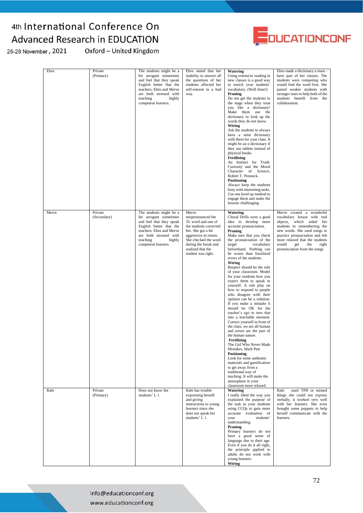

26-28 November, 2021

Oxford - United Kingdom

| Ebru  | Private<br>(Primary)   | The students might be a<br>bit arrogant sometimes<br>and feel that they speak<br>English better that the<br>teachers. Ebru and Merve<br>are both stressed with<br>teaching<br>highly<br>competent learners. | Ebru stated that her<br>inability to answer all<br>the questions of her<br>students affected her<br>self-esteem in a bad<br>way.                                                                                     | <b>Watering</b><br>Using extensive reading in<br>new classes is a good way<br>to enrich your students'<br>vocabulary. (Well done!)<br>Pruning<br>Do not get the students to<br>the stage when they treat<br>vou like a dictionary!<br>Make them use the<br>dictionary to look up the<br>words they do not know.<br>Wiring<br>Ask the students to always<br>have a mini dictionary<br>with them for your class. It<br>might be an e-dictionary if<br>they use tablets instead of<br>physical books.<br>Fertilizing<br>An Instinct for Truth:<br>Curiosity and the Moral<br>Character of Science,<br>Robert T. Pennock.<br><b>Positioning</b><br>Always keep the students<br>busy with interesting tasks.<br>Use one level up method to<br>engage them and make the<br>lessons challenging.                                                                                                                                                                                                                                      | Ebru made a dictionary a must -<br>have part of her classes. The<br>students were competing who<br>would find the word first. She<br>paired weaker students with<br>stronger ones to help both of the<br>students benefit from the<br>collaboration.                                      |
|-------|------------------------|-------------------------------------------------------------------------------------------------------------------------------------------------------------------------------------------------------------|----------------------------------------------------------------------------------------------------------------------------------------------------------------------------------------------------------------------|--------------------------------------------------------------------------------------------------------------------------------------------------------------------------------------------------------------------------------------------------------------------------------------------------------------------------------------------------------------------------------------------------------------------------------------------------------------------------------------------------------------------------------------------------------------------------------------------------------------------------------------------------------------------------------------------------------------------------------------------------------------------------------------------------------------------------------------------------------------------------------------------------------------------------------------------------------------------------------------------------------------------------------|-------------------------------------------------------------------------------------------------------------------------------------------------------------------------------------------------------------------------------------------------------------------------------------------|
| Merve | Private<br>(Secondary) | The students might be a<br>bit arrogant sometimes<br>and feel that they speak<br>English better that the<br>teachers. Ebru and Merve<br>are both stressed with<br>teaching<br>highly<br>competent learners. | Merve<br>mispronounced the<br>TL word and one of<br>the students corrected<br>her. She got a bit<br>aggressive in return.<br>She checked the word<br>during the break and<br>realized that the<br>student was right. | Watering<br>Choral Drills were a good<br>idea to develop more<br>accurate pronunciation.<br>Pruning<br>Make sure that you check<br>the pronunciation of the<br>target<br>vocabulary<br>beforehand. Nothing can<br>be worse than fossilized<br>errors of the students.<br>Wiring<br>Respect should be the rule<br>of your classroom. Model<br>for your students how you<br>expect them to speak to<br>yourself. A role play on<br>how to respond to people<br>who disagree with their<br>opinion can be a solution.<br>If you make a mistake it<br>should be OK for the<br>teacher's ego to turn that<br>into a teachable moment.<br>Correct yourself in front of<br>the class, we are all human<br>and errors are the part of<br>the human nature.<br>Fertilizing<br>The Girl Who Never Made<br>Mistakes, Mark Pett.<br><b>Positioning</b><br>Look for some authentic<br>materials and gamification<br>to get away from a<br>traditional way of<br>teaching. It will make the<br>atmosphere in your<br>classroom more relaxed. | Merve created a wonderful<br>vocabulary lesson with real<br>objects, which aided her<br>students in remembering the<br>new words. She used songs to<br>practice pronunciation and felt<br>more relaxed that the students<br>would<br>get<br>the<br>right<br>pronunciation from the songs. |
| Rahi  | Private<br>(Primary)   | Does not know the<br>students' L 1.                                                                                                                                                                         | Rahi has trouble<br>expressing herself<br>and giving<br>instructions to young<br>learners since she<br>does not speak her<br>students' L 1.                                                                          | Watering<br>I really liked the way you<br>explained the purpose of<br>the task to your students<br>using CCQs to gain more<br>accurate evaluation of<br>students'<br>your<br>understanding.<br>Pruning<br>Primary learners do not<br>have a good sense of<br>language due to their age.<br>Even if you do it all right,<br>the principle applied to<br>adults do not work with<br>young learners.<br><b>Wiring</b>                                                                                                                                                                                                                                                                                                                                                                                                                                                                                                                                                                                                             | used TPR or mimed<br>Rahi<br>things she could not express<br>verbally, it worked very well<br>with her learners. She even<br>brought some puppets to help<br>herself communicate with the<br>learners.                                                                                    |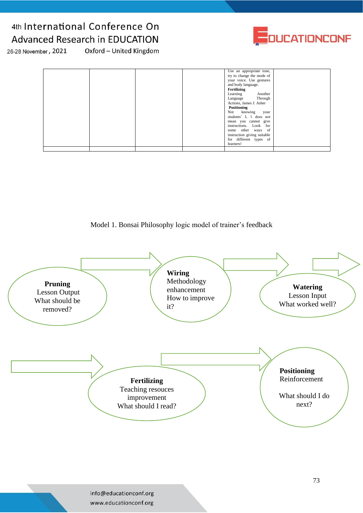

26-28 November, 2021

Oxford - United Kingdom

| Use an appropriate tone,<br>try to change the mode of<br>your voice. Use gestures<br>and body language.<br>Fertilizing<br>Learning Another<br>Language Through<br>Actions, James J. Asher<br>Positioning<br>Not knowing your<br>students' L 1 does not<br>mean you cannot give<br>instructions. Look for<br>some other ways of<br>instruction giving suitable<br>for different types of |  |
|-----------------------------------------------------------------------------------------------------------------------------------------------------------------------------------------------------------------------------------------------------------------------------------------------------------------------------------------------------------------------------------------|--|
|-----------------------------------------------------------------------------------------------------------------------------------------------------------------------------------------------------------------------------------------------------------------------------------------------------------------------------------------------------------------------------------------|--|

Model 1. Bonsai Philosophy logic model of trainer's feedback

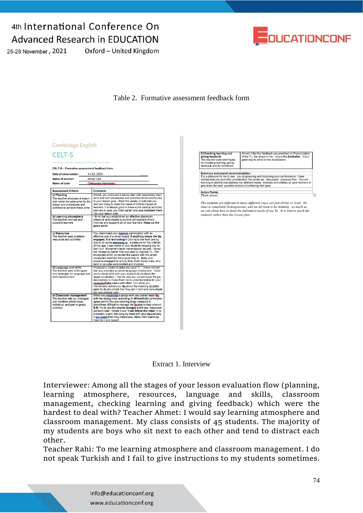26-28 November, 2021

Oxford - United Kingdom



Table 2. Formative assessment feedback form

| <b>CELT-S</b><br>Certificate in English Language Teaching - Secondary<br>CELT-S - Formative assessment feedback form<br>Date of observation: 14.02.2020 |                                                                                                                                                                                                                                                                                                                                                                                                                                                                                                                                                                                                                                        |  |  |  |
|---------------------------------------------------------------------------------------------------------------------------------------------------------|----------------------------------------------------------------------------------------------------------------------------------------------------------------------------------------------------------------------------------------------------------------------------------------------------------------------------------------------------------------------------------------------------------------------------------------------------------------------------------------------------------------------------------------------------------------------------------------------------------------------------------------|--|--|--|
| Name of teacher:                                                                                                                                        | Ahmet Can                                                                                                                                                                                                                                                                                                                                                                                                                                                                                                                                                                                                                              |  |  |  |
| Name of tutor:                                                                                                                                          | Oleksandra, Halchesko                                                                                                                                                                                                                                                                                                                                                                                                                                                                                                                                                                                                                  |  |  |  |
| <b>Assessment Criteria</b>                                                                                                                              | Comment                                                                                                                                                                                                                                                                                                                                                                                                                                                                                                                                                                                                                                |  |  |  |
| a) Planning<br>The teacher produces a lesson<br>plan which includes aims for the<br>lesson and procedures and<br>activities to achieve these aims       | Ahmet, you produced a lesson plan with reasonably clear<br>aims and with procedures and activities which contributed<br>to your lesson goal. I liked the variety of activities you<br>planned trying to meet the needs of different types of<br>learners. It is always good to have some backup activities<br>planned in case you finish earlier and you included them<br>into your lesson plan.                                                                                                                                                                                                                                       |  |  |  |
| b) Learning atmosphere<br>The teacher involves and<br>supports learners                                                                                 | I think that you established an effective classroom.<br>presence and created a positive atmosphere which<br>involves and supports all of your learners. Keep up the<br>good work!                                                                                                                                                                                                                                                                                                                                                                                                                                                      |  |  |  |
| c) Resources<br>The teacher uses available<br>resources and activities.                                                                                 | You maximized your learners participation with an<br>effective use of a smart board. If anything keeps the Ss.<br>engaged, it is technology! Coming to the front one by<br>one to do some exercices is a pleasure for the children<br>of this age. I saw some of your students begging you for<br>their turn. Movement helps memorization as well. I loved<br>the 'Guessing Game' that you used to practise TL. The<br>envelopes which contained the papers with the target<br>vocabulary seemed like a good way to keep your<br>students engaged for a long time. Even those ones, who<br>tend to be quite were excited and involved. |  |  |  |
| d) Language and skills<br>The teacher uses techniques<br>and strategies for language and<br>skills development                                          | Vocabulary related to jobs was your TL. I have noticed<br>that you provided accurate language models and made<br>some choral drills with your students to reinforce the<br>target vocabulary. I like the way you paraphrased the job<br>descriptions to make them more understandable for your<br>students: Take care-Look after'. In a while you<br>intentionally asked your Sa about the meaning of take<br>care' to double check that they got it right and consolidate<br>the new phrasal verb.                                                                                                                                    |  |  |  |
| e) Classroom management<br>The teacher sets up, manages<br>and monitors whole class,<br>individual, and pair or group<br>activities                     | When you erganized a group work you paired weak Se.<br>with the strong ones according to differentiation principles.<br>(good point!) You are teaching large classes it is<br>sometimes difficult to manage the Sa due to their amount.<br>N.B. Try to use the chants (songs) which are classroom<br>conduct rules! Check it out: 'I can follow the rules' (it is<br>a classic). Learn this song by heart with your Se and play<br>it eut-every time they misbehave. Make them stand up.<br>listen to it and repeat!                                                                                                                   |  |  |  |





Interviewer: Among all the stages of your lesson evaluation flow (planning, learning atmosphere, resources, language and skills, classroom management, checking learning and giving feedback) which were the hardest to deal with? Teacher Ahmet: I would say learning atmosphere and classroom management. My class consists of 45 students. The majority of my students are boys who sit next to each other and tend to distract each other.

Teacher Rahi: To me learning atmosphere and classroom management. I do not speak Turkish and I fail to give instructions to my students sometimes.